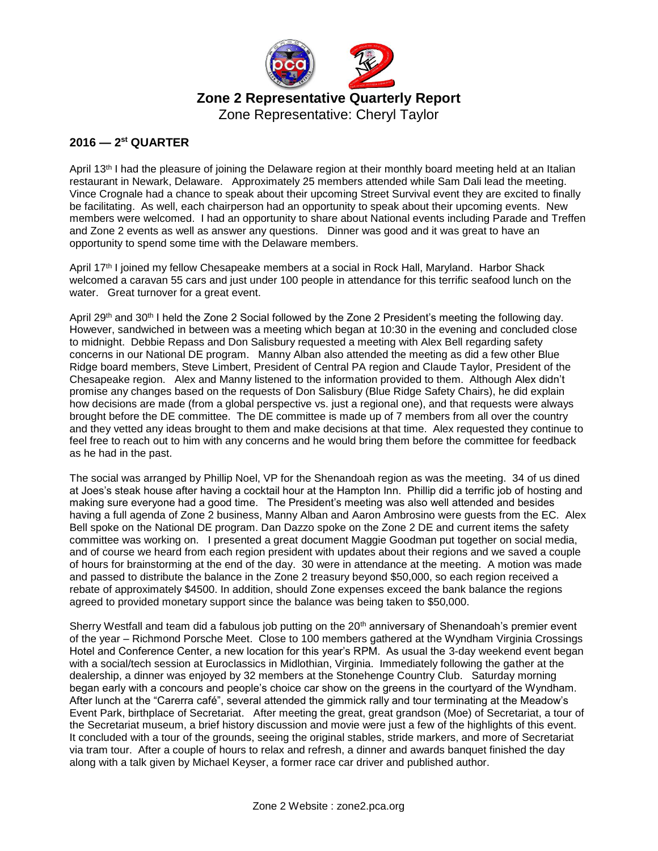

Zone Representative: Cheryl Taylor

## **2016 — 2 st QUARTER**

April 13<sup>th</sup> I had the pleasure of joining the Delaware region at their monthly board meeting held at an Italian restaurant in Newark, Delaware. Approximately 25 members attended while Sam Dali lead the meeting. Vince Crognale had a chance to speak about their upcoming Street Survival event they are excited to finally be facilitating. As well, each chairperson had an opportunity to speak about their upcoming events. New members were welcomed. I had an opportunity to share about National events including Parade and Treffen and Zone 2 events as well as answer any questions. Dinner was good and it was great to have an opportunity to spend some time with the Delaware members.

April 17<sup>th</sup> I joined my fellow Chesapeake members at a social in Rock Hall, Maryland. Harbor Shack welcomed a caravan 55 cars and just under 100 people in attendance for this terrific seafood lunch on the water. Great turnover for a great event.

April 29<sup>th</sup> and 30<sup>th</sup> I held the Zone 2 Social followed by the Zone 2 President's meeting the following day. However, sandwiched in between was a meeting which began at 10:30 in the evening and concluded close to midnight. Debbie Repass and Don Salisbury requested a meeting with Alex Bell regarding safety concerns in our National DE program. Manny Alban also attended the meeting as did a few other Blue Ridge board members, Steve Limbert, President of Central PA region and Claude Taylor, President of the Chesapeake region. Alex and Manny listened to the information provided to them. Although Alex didn't promise any changes based on the requests of Don Salisbury (Blue Ridge Safety Chairs), he did explain how decisions are made (from a global perspective vs. just a regional one), and that requests were always brought before the DE committee. The DE committee is made up of 7 members from all over the country and they vetted any ideas brought to them and make decisions at that time. Alex requested they continue to feel free to reach out to him with any concerns and he would bring them before the committee for feedback as he had in the past.

The social was arranged by Phillip Noel, VP for the Shenandoah region as was the meeting. 34 of us dined at Joes's steak house after having a cocktail hour at the Hampton Inn. Phillip did a terrific job of hosting and making sure everyone had a good time. The President's meeting was also well attended and besides having a full agenda of Zone 2 business, Manny Alban and Aaron Ambrosino were guests from the EC. Alex Bell spoke on the National DE program. Dan Dazzo spoke on the Zone 2 DE and current items the safety committee was working on. I presented a great document Maggie Goodman put together on social media, and of course we heard from each region president with updates about their regions and we saved a couple of hours for brainstorming at the end of the day. 30 were in attendance at the meeting. A motion was made and passed to distribute the balance in the Zone 2 treasury beyond \$50,000, so each region received a rebate of approximately \$4500. In addition, should Zone expenses exceed the bank balance the regions agreed to provided monetary support since the balance was being taken to \$50,000.

Sherry Westfall and team did a fabulous job putting on the 20<sup>th</sup> anniversary of Shenandoah's premier event of the year – Richmond Porsche Meet. Close to 100 members gathered at the Wyndham Virginia Crossings Hotel and Conference Center, a new location for this year's RPM. As usual the 3-day weekend event began with a social/tech session at Euroclassics in Midlothian, Virginia. Immediately following the gather at the dealership, a dinner was enjoyed by 32 members at the Stonehenge Country Club. Saturday morning began early with a concours and people's choice car show on the greens in the courtyard of the Wyndham. After lunch at the "Carerra café", several attended the gimmick rally and tour terminating at the Meadow's Event Park, birthplace of Secretariat. After meeting the great, great grandson (Moe) of Secretariat, a tour of the Secretariat museum, a brief history discussion and movie were just a few of the highlights of this event. It concluded with a tour of the grounds, seeing the original stables, stride markers, and more of Secretariat via tram tour. After a couple of hours to relax and refresh, a dinner and awards banquet finished the day along with a talk given by Michael Keyser, a former race car driver and published author.